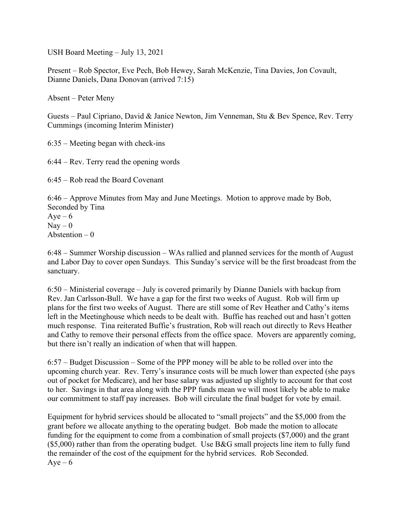USH Board Meeting – July 13, 2021

Present – Rob Spector, Eve Pech, Bob Hewey, Sarah McKenzie, Tina Davies, Jon Covault, Dianne Daniels, Dana Donovan (arrived 7:15)

Absent – Peter Meny

Guests – Paul Cipriano, David & Janice Newton, Jim Venneman, Stu & Bev Spence, Rev. Terry Cummings (incoming Interim Minister)

6:35 – Meeting began with check-ins

6:44 – Rev. Terry read the opening words

6:45 – Rob read the Board Covenant

6:46 – Approve Minutes from May and June Meetings. Motion to approve made by Bob, Seconded by Tina  $Aye-6$  $Nay - 0$ Abstention  $-0$ 

6:48 – Summer Worship discussion – WAs rallied and planned services for the month of August and Labor Day to cover open Sundays. This Sunday's service will be the first broadcast from the sanctuary.

6:50 – Ministerial coverage – July is covered primarily by Dianne Daniels with backup from Rev. Jan Carlsson-Bull. We have a gap for the first two weeks of August. Rob will firm up plans for the first two weeks of August. There are still some of Rev Heather and Cathy's items left in the Meetinghouse which needs to be dealt with. Buffie has reached out and hasn't gotten much response. Tina reiterated Buffie's frustration, Rob will reach out directly to Revs Heather and Cathy to remove their personal effects from the office space. Movers are apparently coming, but there isn't really an indication of when that will happen.

6:57 – Budget Discussion – Some of the PPP money will be able to be rolled over into the upcoming church year. Rev. Terry's insurance costs will be much lower than expected (she pays out of pocket for Medicare), and her base salary was adjusted up slightly to account for that cost to her. Savings in that area along with the PPP funds mean we will most likely be able to make our commitment to staff pay increases. Bob will circulate the final budget for vote by email.

Equipment for hybrid services should be allocated to "small projects" and the \$5,000 from the grant before we allocate anything to the operating budget. Bob made the motion to allocate funding for the equipment to come from a combination of small projects (\$7,000) and the grant (\$5,000) rather than from the operating budget. Use B&G small projects line item to fully fund the remainder of the cost of the equipment for the hybrid services. Rob Seconded.  $Aye-6$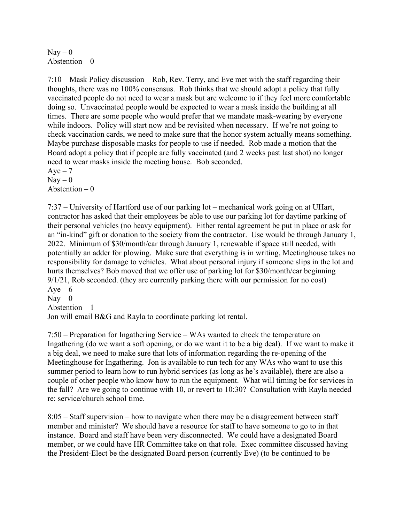$\text{Nav} - 0$ Abstention  $-0$ 

7:10 – Mask Policy discussion – Rob, Rev. Terry, and Eve met with the staff regarding their thoughts, there was no 100% consensus. Rob thinks that we should adopt a policy that fully vaccinated people do not need to wear a mask but are welcome to if they feel more comfortable doing so. Unvaccinated people would be expected to wear a mask inside the building at all times. There are some people who would prefer that we mandate mask-wearing by everyone while indoors. Policy will start now and be revisited when necessary. If we're not going to check vaccination cards, we need to make sure that the honor system actually means something. Maybe purchase disposable masks for people to use if needed. Rob made a motion that the Board adopt a policy that if people are fully vaccinated (and 2 weeks past last shot) no longer need to wear masks inside the meeting house. Bob seconded.  $Aye - 7$ 

 $\text{Nav} - 0$ Abstention  $-0$ 

7:37 – University of Hartford use of our parking lot – mechanical work going on at UHart, contractor has asked that their employees be able to use our parking lot for daytime parking of their personal vehicles (no heavy equipment). Either rental agreement be put in place or ask for an "in-kind" gift or donation to the society from the contractor. Use would be through January 1, 2022. Minimum of \$30/month/car through January 1, renewable if space still needed, with potentially an adder for plowing. Make sure that everything is in writing, Meetinghouse takes no responsibility for damage to vehicles. What about personal injury if someone slips in the lot and hurts themselves? Bob moved that we offer use of parking lot for \$30/month/car beginning 9/1/21, Rob seconded. (they are currently parking there with our permission for no cost)  $Aye-6$ 

 $\text{Nav} - 0$ 

Abstention – 1

Jon will email B&G and Rayla to coordinate parking lot rental.

7:50 – Preparation for Ingathering Service – WAs wanted to check the temperature on Ingathering (do we want a soft opening, or do we want it to be a big deal). If we want to make it a big deal, we need to make sure that lots of information regarding the re-opening of the Meetinghouse for Ingathering. Jon is available to run tech for any WAs who want to use this summer period to learn how to run hybrid services (as long as he's available), there are also a couple of other people who know how to run the equipment. What will timing be for services in the fall? Are we going to continue with 10, or revert to 10:30? Consultation with Rayla needed re: service/church school time.

8:05 – Staff supervision – how to navigate when there may be a disagreement between staff member and minister? We should have a resource for staff to have someone to go to in that instance. Board and staff have been very disconnected. We could have a designated Board member, or we could have HR Committee take on that role. Exec committee discussed having the President-Elect be the designated Board person (currently Eve) (to be continued to be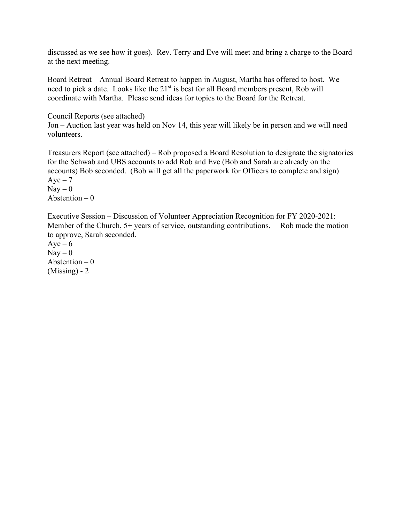discussed as we see how it goes). Rev. Terry and Eve will meet and bring a charge to the Board at the next meeting.

Board Retreat – Annual Board Retreat to happen in August, Martha has offered to host. We need to pick a date. Looks like the 21<sup>st</sup> is best for all Board members present, Rob will coordinate with Martha. Please send ideas for topics to the Board for the Retreat.

Council Reports (see attached) Jon – Auction last year was held on Nov 14, this year will likely be in person and we will need volunteers.

Treasurers Report (see attached) – Rob proposed a Board Resolution to designate the signatories for the Schwab and UBS accounts to add Rob and Eve (Bob and Sarah are already on the accounts) Bob seconded. (Bob will get all the paperwork for Officers to complete and sign)  $Aye - 7$  $\text{Nay} - 0$ Abstention  $-0$ 

Executive Session – Discussion of Volunteer Appreciation Recognition for FY 2020-2021: Member of the Church, 5+ years of service, outstanding contributions. Rob made the motion to approve, Sarah seconded.

 $Aye-6$  $Nay - 0$ Abstention  $-0$  $(Missing) - 2$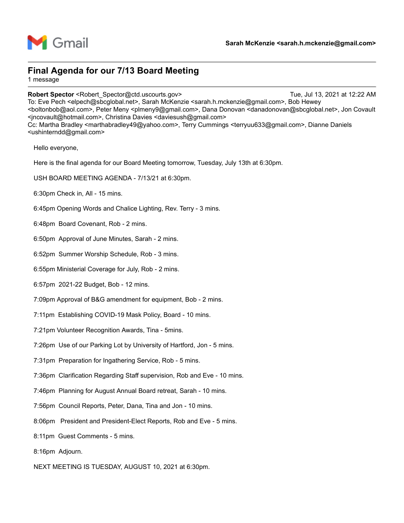

### Final Agenda for our 7/13 Board Meeting

1 message

Sarah McKenzie <sarah.h.mckenzie@gmail.com><br>Rinal Agenda for our 7/13 Board Meeting<br>Annessage<br>Robert Spector <Robert\_Spector@ctd.uscourts.gov><br>To: Eve Pech <elpector@ctd.uscourts.gov><br>Considerable and McKenzie <sarah.h.mck To: Eve Pech <elpech@sbcglobal.net>, Sarah McKenzie <sarah.h.mckenzie@gmail.com>, Bob Hewey <boltonbob@aol.com>, Peter Meny <plmeny9@gmail.com>, Dana Donovan <danadonovan@sbcglobal.net>, Jon Covault <jncovault@hotmail.com>, Christina Davies <daviesush@gmail.com> Cc: Martha Bradley <marthabradley49@yahoo.com>, Terry Cummings <terryuu633@gmail.com>, Dianne Daniels <ushinterndd@gmail.com> Sarah McKenzi<br>
Sarah McKenzi<br>
inal Agenda for our 7/13 Board Meeting<br>
message<br>
between Spector <Robert\_Spector@ctd.uscourts.gov><br>
i: Eve Pech <elpech@sbcglobal.net>, Sarah McKenzie <sarah.h.mckenzie@gmail.com<br>
olotonbob@ao **inal Agenda for our 7/13 Board Meeting**<br>
message<br>
bbert Spector <Robert\_Spector@ctd.uscourts.gov><br>
Eve Pech <elpech@sbcglobal.net>, Sarah McKenzie <sarah.h.mckenzie@gmail.com<br>
cncovault@hotmal.com>, Peter Meny <plmeny9@gm Inal Agenda for our 7/13 Board Meeting<br>
Innessage<br>
Subset Spector <Robert\_Spector@ctd.uscounts.gov><br>
E. Eve Pech <elpech@slogoloal.net>, Sarah McKenzie <sarah.h.mckenzie@gmail.com<br>
Subset Spector (Subset Spector Mentry Spe message<br>
Subert Spector <Robert\_Spector@ctd.uscourts.gov><br>
Subert Spector <Robert\_Spector@ctd.uscourts.gov><br>
E Eve Pech <elpech@sbcglobal.net>, Sarah McKenzie <sarah.h.mckenzie@gmail.com><br>
cncovault@notmail.com><br>
C: Martha f: Eve Pech <electric startshouted: Sarah McKenzie <sarah.h.mckenzie@gmail.orn><br>
f: Eve Pech <electric startshouted: Sarah McKenzie <sarah.h.mckenzie@gmail.orn><br>
cnovault@hotmail.com>, Peter Meny <phimeny9@gmail.com><br>
fict ncovault@hofmail.com>, Christina Davies <daviesush@gmail.com><br>
S: Martha Bradley <marthabradley49@yahoo.com>, Terry Cummings <terryuu633@;<br>
shinterndd@gmail.com><br>
Hello everyone,<br>
Hello everyone,<br>
Hello everyone,<br>
Hello ev

Hello everyone,

Here is the final agenda for our Board Meeting tomorrow, Tuesday, July 13th at 6:30pm. Hello everyone,<br>Here is the final agenda for our Board Meeting tomorrow, Tuesday, July 13th at 6:30<br>USH BOARD MEETING AGENDA - 7/13/21 at 6:30pm.<br>6:30pm Check in, All - 15 mins.<br>6:48pm Opening Words and Chalice Lighting, R

- USH BOARD MEETING AGENDA 7/13/21 at 6:30pm.
- 
- 6:45pm Opening Words and Chalice Lighting, Rev. Terry 3 mins.
- 
- 
- 
- 
- 
- 7:09pm Approval of B&G amendment for equipment, Bob 2 mins.
- 
- 7:21pm Volunteer Recognition Awards, Tina 5mins.
- 7:26pm Use of our Parking Lot by University of Hartford, Jon 5 mins.
- 
- 6:30pm Check in, All 15 mins.<br>6:45pm Opening Words and Chalice Lighting, Rev. Terry 3 mins.<br>6:45pm Board Covenant, Rob 2 mins.<br>6:50pm Approval of June Minutes, Sarah 2 mins.<br>6:52pm Summer Worship Schedule, Rob 3 6:45pm Opening Words and Chalice Lighting, Rev. Terry - 3 mins.<br>6:48pm Board Covenant, Rob - 2 mins.<br>6:50pm Approval of June Minutes, Sarah - 2 mins.<br>6:50pm Summer Worship Schedule, Rob - 3 mins.<br>6:55pm Ministerial Coverag 6:48pm Board Covenant, Rob - 2 mins.<br>6:50pm Approval of June Minutes, Sarah - 2 mins.<br>6:52pm Summer Worship Schedule, Rob - 3 mins.<br>6:57pm 2021-22 Budget, Bob - 12 mins.<br>7:09pm Approval of B&G amendment for equipment, Bob 6:50pm Approval of June Minutes, Sarah - 2 mins.<br>6:52pm Summer Worship Schedule, Rob - 3 mins.<br>6:55pm Ministerial Coverage for July, Rob - 2 mins.<br>7:09pm Approval of B&G amendment for equipment, Bob - 2 mins.<br>7:11pm Establ 6:55pm Ministerial Coverage for July, Rob - 2 mins.<br>6:57pm 2021-22 Budget, Bob - 12 mins.<br>7:09pm Approval of B&G amendment for equipment, Bob - 2 mins.<br>7:11pm Establishing COVID-19 Mask Policy, Board - 10 mins.<br>7:26pm Use 6:57pm 2021-22 Budget, Bob - 12 mins.<br>7:09pm Approval of B&G amendment for equipment, Bob - 2 mins.<br>7:11pm Establishing COVID-19 Mask Policy, Board - 10 mins.<br>7:21pm Volunteer Recognition Awards, Tina - 5mins.<br>7:31pm Use o
- 
- 
- 8:06pm President and President-Elect Reports, Rob and Eve 5 mins.
- 
- 
- NEXT MEETING IS TUESDAY, AUGUST 10, 2021 at 6:30pm.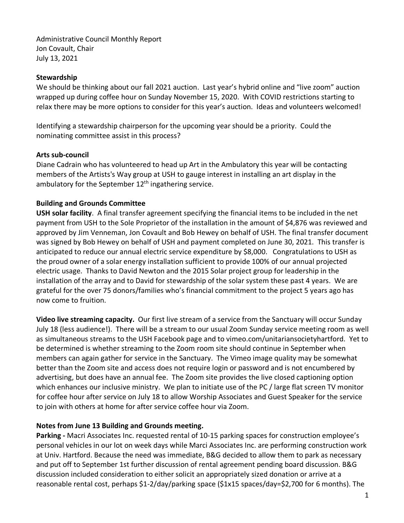Administrative Council Monthly Report Jon Covault, Chair July 13, 2021

### **Stewardship**

We should be thinking about our fall 2021 auction. Last year's hybrid online and "live zoom" auction wrapped up during coffee hour on Sunday November 15, 2020. With COVID restrictions starting to relax there may be more options to consider for this year's auction. Ideas and volunteers welcomed!

Identifying a stewardship chairperson for the upcoming year should be a priority. Could the nominating committee assist in this process?

### **Arts sub-council**

Diane Cadrain who has volunteered to head up Art in the Ambulatory this year will be contacting members of the Artists's Way group at USH to gauge interest in installing an art display in the ambulatory for the September  $12<sup>th</sup>$  ingathering service.

### **Building and Grounds Committee**

**USH solar facility**. A final transfer agreement specifying the financial items to be included in the net payment from USH to the Sole Proprietor of the installation in the amount of \$4,876 was reviewed and approved by Jim Venneman, Jon Covault and Bob Hewey on behalf of USH. The final transfer document was signed by Bob Hewey on behalf of USH and payment completed on June 30, 2021. This transfer is anticipated to reduce our annual electric service expenditure by \$8,000. Congratulations to USH as the proud owner of a solar energy installation sufficient to provide 100% of our annual projected electric usage. Thanks to David Newton and the 2015 Solar project group for leadership in the installation of the array and to David for stewardship of the solar system these past 4 years. We are grateful for the over 75 donors/families who's financial commitment to the project 5 years ago has now come to fruition.

**Video live streaming capacity.** Our first live stream of a service from the Sanctuary will occur Sunday July 18 (less audience!). There will be a stream to our usual Zoom Sunday service meeting room as well as simultaneous streams to the USH Facebook page and to vimeo.com/unitariansocietyhartford. Yet to be determined is whether streaming to the Zoom room site should continue in September when members can again gather for service in the Sanctuary. The Vimeo image quality may be somewhat better than the Zoom site and access does not require login or password and is not encumbered by advertising, but does have an annual fee. The Zoom site provides the live closed captioning option which enhances our inclusive ministry. We plan to initiate use of the PC / large flat screen TV monitor for coffee hour after service on July 18 to allow Worship Associates and Guest Speaker for the service to join with others at home for after service coffee hour via Zoom.

#### **Notes from June 13 Building and Grounds meeting.**

**Parking -** Macri Associates Inc. requested rental of 10-15 parking spaces for construction employee's personal vehicles in our lot on week days while Marci Associates Inc. are performing construction work at Univ. Hartford. Because the need was immediate, B&G decided to allow them to park as necessary and put off to September 1st further discussion of rental agreement pending board discussion. B&G discussion included consideration to either solicit an appropriately sized donation or arrive at a reasonable rental cost, perhaps \$1-2/day/parking space (\$1x15 spaces/day=\$2,700 for 6 months). The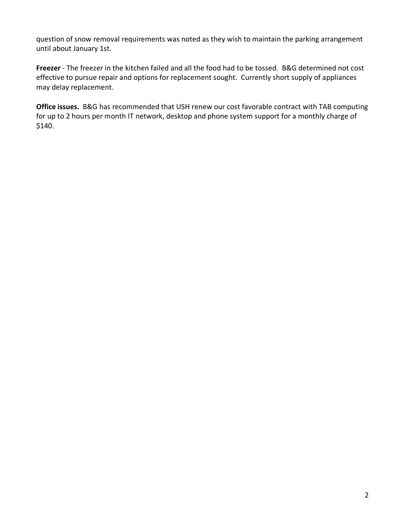question of snow removal requirements was noted as they wish to maintain the parking arrangement until about January 1st.

**Freezer** - The freezer in the kitchen failed and all the food had to be tossed. B&G determined not cost effective to pursue repair and options for replacement sought. Currently short supply of appliances may delay replacement.

**Office issues.** B&G has recommended that USH renew our cost favorable contract with TAB computing for up to 2 hours per month IT network, desktop and phone system support for a monthly charge of \$140.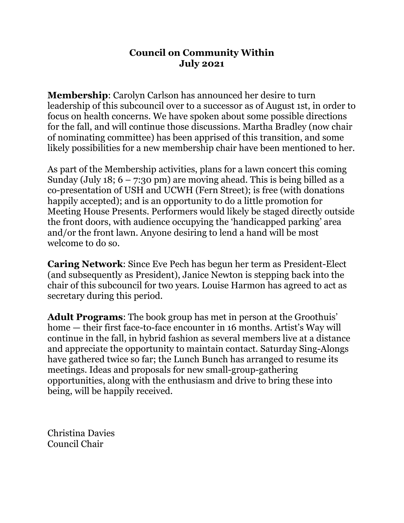# **Council on Community Within July 2021**

**Membership**: Carolyn Carlson has announced her desire to turn leadership of this subcouncil over to a successor as of August 1st, in order to focus on health concerns. We have spoken about some possible directions for the fall, and will continue those discussions. Martha Bradley (now chair of nominating committee) has been apprised of this transition, and some likely possibilities for a new membership chair have been mentioned to her.

As part of the Membership activities, plans for a lawn concert this coming Sunday (July 18;  $6 - 7:30 \text{ pm}$ ) are moving ahead. This is being billed as a co-presentation of USH and UCWH (Fern Street); is free (with donations happily accepted); and is an opportunity to do a little promotion for Meeting House Presents. Performers would likely be staged directly outside the front doors, with audience occupying the 'handicapped parking' area and/or the front lawn. Anyone desiring to lend a hand will be most welcome to do so.

**Caring Network**: Since Eve Pech has begun her term as President-Elect (and subsequently as President), Janice Newton is stepping back into the chair of this subcouncil for two years. Louise Harmon has agreed to act as secretary during this period.

**Adult Programs**: The book group has met in person at the Groothuis' home — their first face-to-face encounter in 16 months. Artist's Way will continue in the fall, in hybrid fashion as several members live at a distance and appreciate the opportunity to maintain contact. Saturday Sing-Alongs have gathered twice so far; the Lunch Bunch has arranged to resume its meetings. Ideas and proposals for new small-group-gathering opportunities, along with the enthusiasm and drive to bring these into being, will be happily received.

Christina Davies Council Chair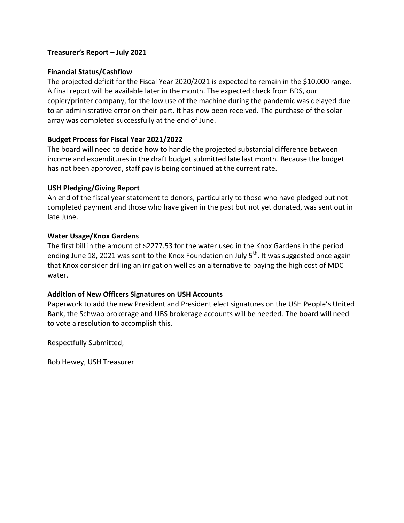#### **Treasurer's Report – July 2021**

### **Financial Status/Cashflow**

The projected deficit for the Fiscal Year 2020/2021 is expected to remain in the \$10,000 range. A final report will be available later in the month. The expected check from BDS, our copier/printer company, for the low use of the machine during the pandemic was delayed due to an administrative error on their part. It has now been received. The purchase of the solar array was completed successfully at the end of June.

### **Budget Process for Fiscal Year 2021/2022**

The board will need to decide how to handle the projected substantial difference between income and expenditures in the draft budget submitted late last month. Because the budget has not been approved, staff pay is being continued at the current rate.

#### **USH Pledging/Giving Report**

An end of the fiscal year statement to donors, particularly to those who have pledged but not completed payment and those who have given in the past but not yet donated, was sent out in late June.

### **Water Usage/Knox Gardens**

The first bill in the amount of \$2277.53 for the water used in the Knox Gardens in the period ending June 18, 2021 was sent to the Knox Foundation on July  $5<sup>th</sup>$ . It was suggested once again that Knox consider drilling an irrigation well as an alternative to paying the high cost of MDC water.

### **Addition of New Officers Signatures on USH Accounts**

Paperwork to add the new President and President elect signatures on the USH People's United Bank, the Schwab brokerage and UBS brokerage accounts will be needed. The board will need to vote a resolution to accomplish this.

Respectfully Submitted,

Bob Hewey, USH Treasurer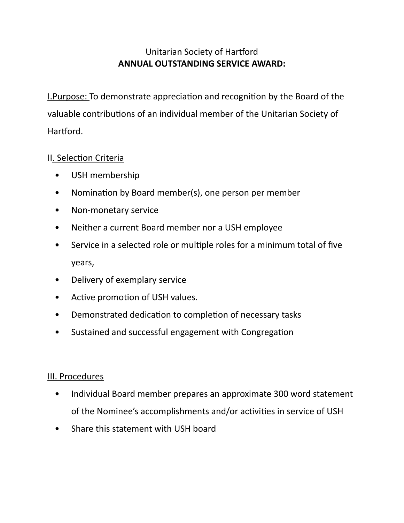# Unitarian Society of Hartford **ANNUAL OUTSTANDING SERVICE AWARD:**

I.Purpose: To demonstrate appreciation and recognition by the Board of the valuable contributions of an individual member of the Unitarian Society of Hartford.

# II. Selection Criteria

- USH membership
- Nomination by Board member(s), one person per member
- Non-monetary service
- Neither a current Board member nor a USH employee
- Service in a selected role or multiple roles for a minimum total of five years,
- Delivery of exemplary service
- Active promotion of USH values.
- Demonstrated dedication to completion of necessary tasks
- Sustained and successful engagement with Congregation

## III. Procedures

- Individual Board member prepares an approximate 300 word statement of the Nominee's accomplishments and/or activities in service of USH
- Share this statement with USH board